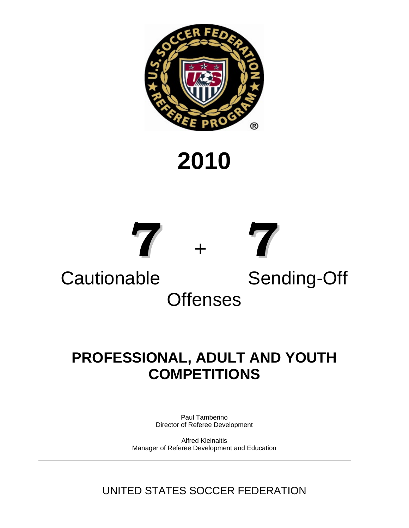

# **2010**



## **PROFESSIONAL, ADULT AND YOUTH COMPETITIONS**

Paul Tamberino Director of Referee Development

Alfred Kleinaitis Manager of Referee Development and Education

UNITED STATES SOCCER FEDERATION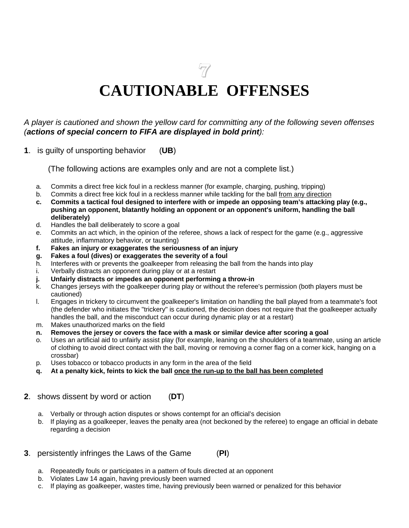**7**

# **CAUTIONABLE OFFENSES**

#### *A player is cautioned and shown the yellow card for committing any of the following seven offenses (actions of special concern to FIFA are displayed in bold print):*

**1**. is guilty of unsporting behavior (**UB**)

(The following actions are examples only and are not a complete list.)

- a. Commits a direct free kick foul in a reckless manner (for example, charging, pushing, tripping)
- b. Commits a direct free kick foul in a reckless manner while tackling for the ball from any direction
- **c. Commits a tactical foul designed to interfere with or impede an opposing team's attacking play (e.g., pushing an opponent, blatantly holding an opponent or an opponent's uniform, handling the ball deliberately)**
- d. Handles the ball deliberately to score a goal
- e. Commits an act which, in the opinion of the referee, shows a lack of respect for the game (e.g., aggressive attitude, inflammatory behavior, or taunting)
- **f. Fakes an injury or exaggerates the seriousness of an injury**
- **g. Fakes a foul (dives) or exaggerates the severity of a foul**
- h. Interferes with or prevents the goalkeeper from releasing the ball from the hands into play
- i. Verbally distracts an opponent during play or at a restart
- **j. Unfairly distracts or impedes an opponent performing a throw-in**
- k. Changes jerseys with the goalkeeper during play or without the referee's permission (both players must be cautioned)
- l. Engages in trickery to circumvent the goalkeeper's limitation on handling the ball played from a teammate's foot (the defender who initiates the "trickery" is cautioned, the decision does not require that the goalkeeper actually handles the ball, and the misconduct can occur during dynamic play or at a restart)
- m. Makes unauthorized marks on the field
- **n. Removes the jersey or covers the face with a mask or similar device after scoring a goal**
- o. Uses an artificial aid to unfairly assist play (for example, leaning on the shoulders of a teammate, using an article of clothing to avoid direct contact with the ball, moving or removing a corner flag on a corner kick, hanging on a crossbar)
- p. Uses tobacco or tobacco products in any form in the area of the field
- **q. At a penalty kick, feints to kick the ball once the run-up to the ball has been completed**
- **2**. shows dissent by word or action (**DT**)
	- a. Verbally or through action disputes or shows contempt for an official's decision
	- b. If playing as a goalkeeper, leaves the penalty area (not beckoned by the referee) to engage an official in debate regarding a decision
- **3**. persistently infringes the Laws of the Game (**PI**)
	- a. Repeatedly fouls or participates in a pattern of fouls directed at an opponent
	- b. Violates Law 14 again, having previously been warned
	- c. If playing as goalkeeper, wastes time, having previously been warned or penalized for this behavior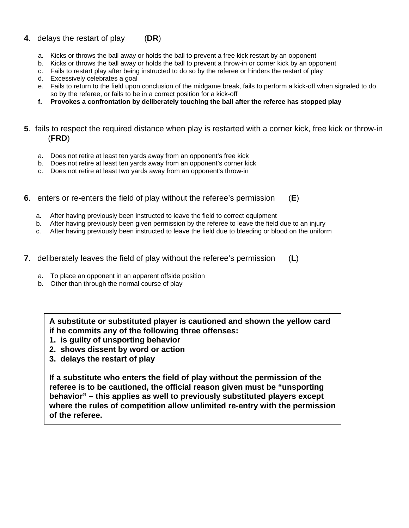#### **4**. delays the restart of play (**DR**)

- a. Kicks or throws the ball away or holds the ball to prevent a free kick restart by an opponent
- b. Kicks or throws the ball away or holds the ball to prevent a throw-in or corner kick by an opponent
- c. Fails to restart play after being instructed to do so by the referee or hinders the restart of play
- d. Excessively celebrates a goal
- e. Fails to return to the field upon conclusion of the midgame break, fails to perform a kick-off when signaled to do so by the referee, or fails to be in a correct position for a kick-off
- **f. Provokes a confrontation by deliberately touching the ball after the referee has stopped play**
- **5**. fails to respect the required distance when play is restarted with a corner kick, free kick or throw-in (**FRD**)
	- a. Does not retire at least ten yards away from an opponent's free kick
	- b. Does not retire at least ten yards away from an opponent's corner kick
	- c. Does not retire at least two yards away from an opponent's throw-in
- **6**. enters or re-enters the field of play without the referee's permission (**E**)
	- a. After having previously been instructed to leave the field to correct equipment
	- b. After having previously been given permission by the referee to leave the field due to an injury
	- c. After having previously been instructed to leave the field due to bleeding or blood on the uniform
- **7**. deliberately leaves the field of play without the referee's permission (**L**)
	- a. To place an opponent in an apparent offside position
	- b. Other than through the normal course of play

**A substitute or substituted player is cautioned and shown the yellow card if he commits any of the following three offenses:** 

- **1. is guilty of unsporting behavior**
- **2. shows dissent by word or action**
- **3. delays the restart of play**

**If a substitute who enters the field of play without the permission of the referee is to be cautioned, the official reason given must be "unsporting behavior" – this applies as well to previously substituted players except where the rules of competition allow unlimited re-entry with the permission of the referee.**